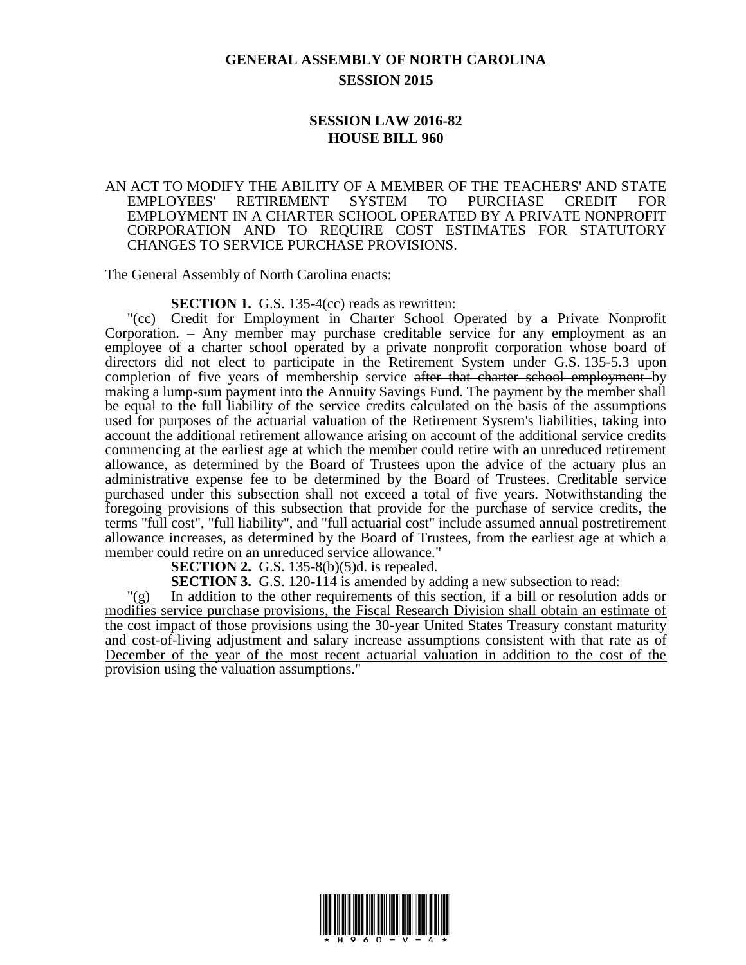## **GENERAL ASSEMBLY OF NORTH CAROLINA SESSION 2015**

## **SESSION LAW 2016-82 HOUSE BILL 960**

## AN ACT TO MODIFY THE ABILITY OF A MEMBER OF THE TEACHERS' AND STATE EMPLOYEES' RETIREMENT SYSTEM TO PURCHASE CREDIT FOR EMPLOYMENT IN A CHARTER SCHOOL OPERATED BY A PRIVATE NONPROFIT CORPORATION AND TO REQUIRE COST ESTIMATES FOR STATUTORY CHANGES TO SERVICE PURCHASE PROVISIONS.

The General Assembly of North Carolina enacts:

**SECTION 1.** G.S. 135-4(cc) reads as rewritten:

"(cc) Credit for Employment in Charter School Operated by a Private Nonprofit Corporation. – Any member may purchase creditable service for any employment as an employee of a charter school operated by a private nonprofit corporation whose board of directors did not elect to participate in the Retirement System under G.S. 135-5.3 upon completion of five years of membership service after that charter school employment by making a lump-sum payment into the Annuity Savings Fund. The payment by the member shall be equal to the full liability of the service credits calculated on the basis of the assumptions used for purposes of the actuarial valuation of the Retirement System's liabilities, taking into account the additional retirement allowance arising on account of the additional service credits commencing at the earliest age at which the member could retire with an unreduced retirement allowance, as determined by the Board of Trustees upon the advice of the actuary plus an administrative expense fee to be determined by the Board of Trustees. Creditable service purchased under this subsection shall not exceed a total of five years. Notwithstanding the foregoing provisions of this subsection that provide for the purchase of service credits, the terms "full cost", "full liability", and "full actuarial cost" include assumed annual postretirement allowance increases, as determined by the Board of Trustees, from the earliest age at which a member could retire on an unreduced service allowance."

**SECTION 2.** G.S. 135-8(b)(5)d. is repealed.

**SECTION 3.** G.S. 120-114 is amended by adding a new subsection to read:

"(g) In addition to the other requirements of this section, if a bill or resolution adds or modifies service purchase provisions, the Fiscal Research Division shall obtain an estimate of the cost impact of those provisions using the 30-year United States Treasury constant maturity and cost-of-living adjustment and salary increase assumptions consistent with that rate as of December of the year of the most recent actuarial valuation in addition to the cost of the provision using the valuation assumptions."